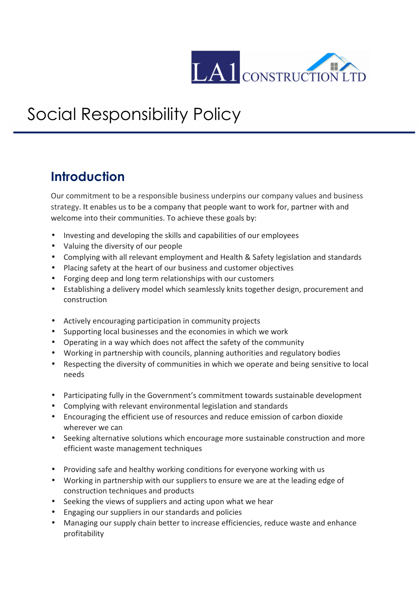

## Social Responsibility Policy

## **Introduction**

Our commitment to be a responsible business underpins our company values and business strategy. It enables us to be a company that people want to work for, partner with and welcome into their communities. To achieve these goals by:

- Investing and developing the skills and capabilities of our employees
- Valuing the diversity of our people
- Complying with all relevant employment and Health & Safety legislation and standards
- Placing safety at the heart of our business and customer objectives
- Forging deep and long term relationships with our customers
- Establishing a delivery model which seamlessly knits together design, procurement and construction
- Actively encouraging participation in community projects
- Supporting local businesses and the economies in which we work
- Operating in a way which does not affect the safety of the community
- Working in partnership with councils, planning authorities and regulatory bodies
- Respecting the diversity of communities in which we operate and being sensitive to local needs
- Participating fully in the Government's commitment towards sustainable development
- Complying with relevant environmental legislation and standards
- Encouraging the efficient use of resources and reduce emission of carbon dioxide wherever we can
- Seeking alternative solutions which encourage more sustainable construction and more efficient waste management techniques
- Providing safe and healthy working conditions for everyone working with us
- Working in partnership with our suppliers to ensure we are at the leading edge of construction techniques and products
- Seeking the views of suppliers and acting upon what we hear
- Engaging our suppliers in our standards and policies
- Managing our supply chain better to increase efficiencies, reduce waste and enhance profitability